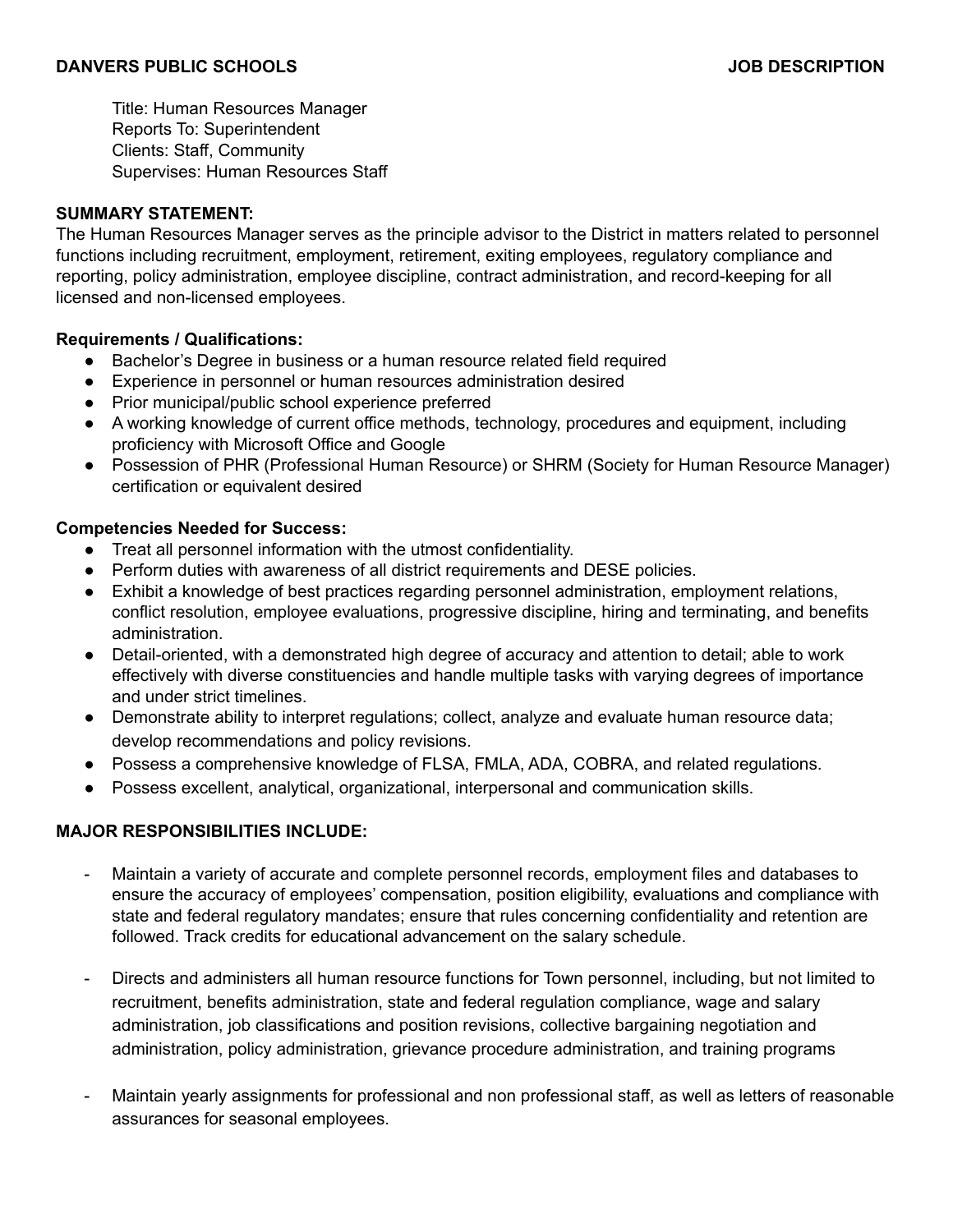Title: Human Resources Manager Reports To: Superintendent Clients: Staff, Community Supervises: Human Resources Staff

## **SUMMARY STATEMENT:**

The Human Resources Manager serves as the principle advisor to the District in matters related to personnel functions including recruitment, employment, retirement, exiting employees, regulatory compliance and reporting, policy administration, employee discipline, contract administration, and record-keeping for all licensed and non-licensed employees.

### **Requirements / Qualifications:**

- Bachelor's Degree in business or a human resource related field required
- Experience in personnel or human resources administration desired
- Prior municipal/public school experience preferred
- A working knowledge of current office methods, technology, procedures and equipment, including proficiency with Microsoft Office and Google
- Possession of PHR (Professional Human Resource) or SHRM (Society for Human Resource Manager) certification or equivalent desired

# **Competencies Needed for Success:**

- Treat all personnel information with the utmost confidentiality.
- Perform duties with awareness of all district requirements and DESE policies.
- Exhibit a knowledge of best practices regarding personnel administration, employment relations, conflict resolution, employee evaluations, progressive discipline, hiring and terminating, and benefits administration.
- Detail-oriented, with a demonstrated high degree of accuracy and attention to detail; able to work effectively with diverse constituencies and handle multiple tasks with varying degrees of importance and under strict timelines.
- Demonstrate ability to interpret regulations; collect, analyze and evaluate human resource data; develop recommendations and policy revisions.
- Possess a comprehensive knowledge of FLSA, FMLA, ADA, COBRA, and related regulations.
- Possess excellent, analytical, organizational, interpersonal and communication skills.

### **MAJOR RESPONSIBILITIES INCLUDE:**

- Maintain a variety of accurate and complete personnel records, employment files and databases to ensure the accuracy of employees' compensation, position eligibility, evaluations and compliance with state and federal regulatory mandates; ensure that rules concerning confidentiality and retention are followed. Track credits for educational advancement on the salary schedule.
- Directs and administers all human resource functions for Town personnel, including, but not limited to recruitment, benefits administration, state and federal regulation compliance, wage and salary administration, job classifications and position revisions, collective bargaining negotiation and administration, policy administration, grievance procedure administration, and training programs
- Maintain yearly assignments for professional and non professional staff, as well as letters of reasonable assurances for seasonal employees.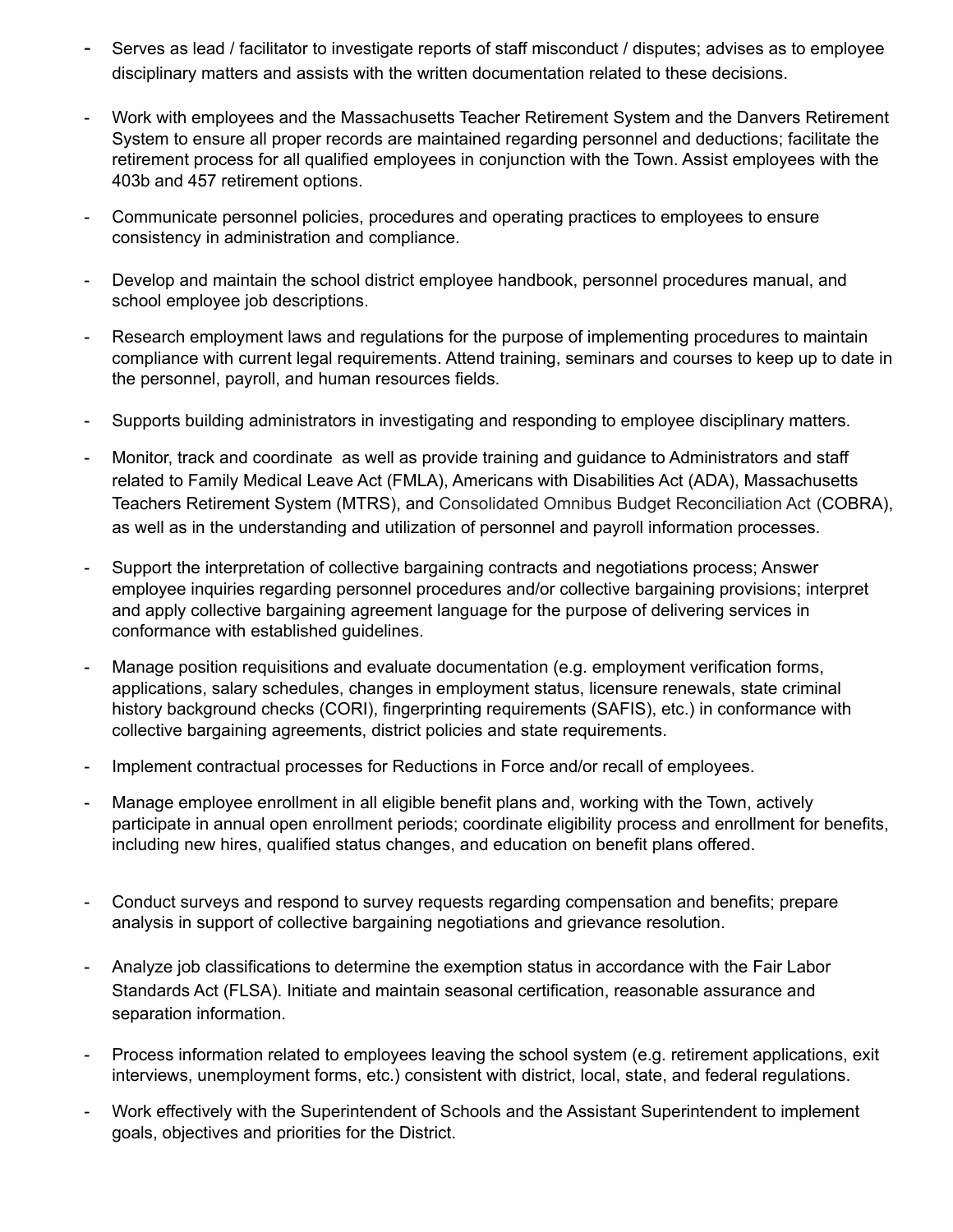- Serves as lead / facilitator to investigate reports of staff misconduct / disputes; advises as to employee disciplinary matters and assists with the written documentation related to these decisions.
- Work with employees and the Massachusetts Teacher Retirement System and the Danvers Retirement System to ensure all proper records are maintained regarding personnel and deductions; facilitate the retirement process for all qualified employees in conjunction with the Town. Assist employees with the 403b and 457 retirement options.
- Communicate personnel policies, procedures and operating practices to employees to ensure consistency in administration and compliance.
- Develop and maintain the school district employee handbook, personnel procedures manual, and school employee job descriptions.
- Research employment laws and regulations for the purpose of implementing procedures to maintain compliance with current legal requirements. Attend training, seminars and courses to keep up to date in the personnel, payroll, and human resources fields.
- Supports building administrators in investigating and responding to employee disciplinary matters.
- Monitor, track and coordinate as well as provide training and guidance to Administrators and staff related to Family Medical Leave Act (FMLA), Americans with Disabilities Act (ADA), Massachusetts Teachers Retirement System (MTRS), and Consolidated Omnibus Budget Reconciliation Act (COBRA), as well as in the understanding and utilization of personnel and payroll information processes.
- Support the interpretation of collective bargaining contracts and negotiations process; Answer employee inquiries regarding personnel procedures and/or collective bargaining provisions; interpret and apply collective bargaining agreement language for the purpose of delivering services in conformance with established guidelines.
- Manage position requisitions and evaluate documentation (e.g. employment verification forms, applications, salary schedules, changes in employment status, licensure renewals, state criminal history background checks (CORI), fingerprinting requirements (SAFIS), etc.) in conformance with collective bargaining agreements, district policies and state requirements.
- Implement contractual processes for Reductions in Force and/or recall of employees.
- Manage employee enrollment in all eligible benefit plans and, working with the Town, actively participate in annual open enrollment periods; coordinate eligibility process and enrollment for benefits, including new hires, qualified status changes, and education on benefit plans offered.
- Conduct surveys and respond to survey requests regarding compensation and benefits; prepare analysis in support of collective bargaining negotiations and grievance resolution.
- Analyze job classifications to determine the exemption status in accordance with the Fair Labor Standards Act (FLSA). Initiate and maintain seasonal certification, reasonable assurance and separation information.
- Process information related to employees leaving the school system (e.g. retirement applications, exit interviews, unemployment forms, etc.) consistent with district, local, state, and federal regulations.
- Work effectively with the Superintendent of Schools and the Assistant Superintendent to implement goals, objectives and priorities for the District.